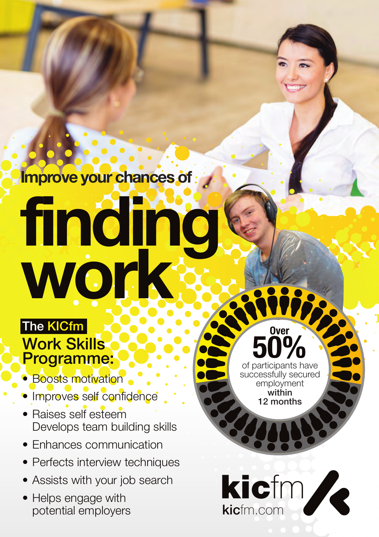**Improve your chances of**

## The KICfm **finding work**

## Work Skills Programme:

- Boosts motivation
- Improves self confidence
- Raises self esteem Develops team building skills
- Enhances communication
- Perfects interview techniques
- Assists with your job search
- Helps engage with potential employers

of participants have **50%** successfully secured employment within 12 months

**Over**

**kic**fm

kicfm.com